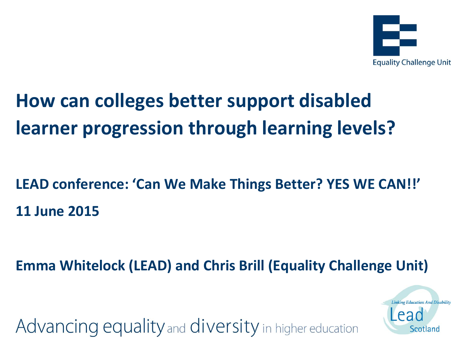

**Linking Education And Disability** 

Scotland

# **How can colleges better support disabled learner progression through learning levels?**

### **LEAD conference: 'Can We Make Things Better? YES WE CAN!!' 11 June 2015**

**Emma Whitelock (LEAD) and Chris Brill (Equality Challenge Unit)**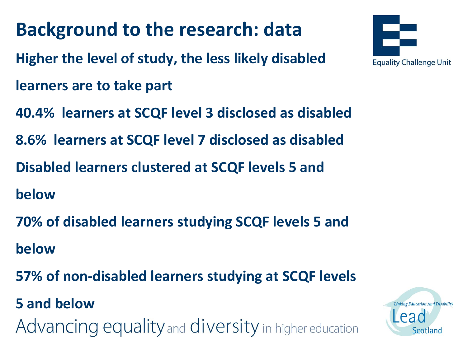## **Background to the research: data**

- **Higher the level of study, the less likely disabled**
- **learners are to take part**
- **40.4% learners at SCQF level 3 disclosed as disabled**
- **8.6% learners at SCQF level 7 disclosed as disabled**
- **Disabled learners clustered at SCQF levels 5 and**
- **below**
- **70% of disabled learners studying SCQF levels 5 and**
- **below**
- **57% of non-disabled learners studying at SCQF levels**

#### **5 and below**



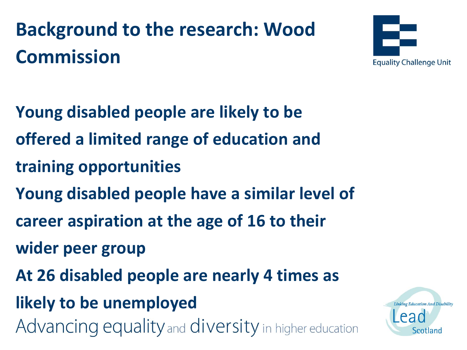# **Background to the research: Wood Commission**



**Young disabled people are likely to be offered a limited range of education and training opportunities Young disabled people have a similar level of career aspiration at the age of 16 to their wider peer group At 26 disabled people are nearly 4 times as likely to be unemployed**Advancing equality and diversity in higher education

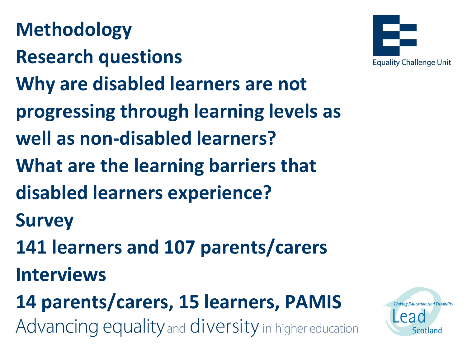# **Methodology Research questions Why are disabled learners are not progressing through learning levels as well as non-disabled learners? What are the learning barriers that disabled learners experience? Survey 141 learners and 107 parents/carers Interviews 14 parents/carers, 15 learners, PAMIS**Advancing equality and diversity in higher education



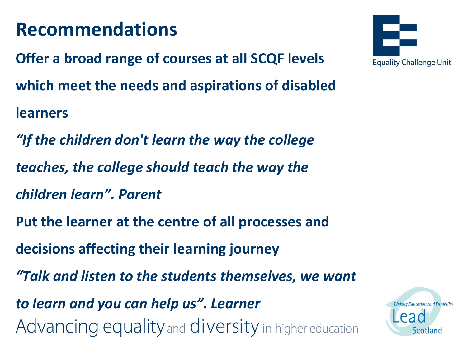- **Offer a broad range of courses at all SCQF levels which meet the needs and aspirations of disabled learners**
- *"If the children don't learn the way the college*
- *teaches, the college should teach the way the*
- *children learn". Parent*
- **Put the learner at the centre of all processes and**
- **decisions affecting their learning journey**
- *"Talk and listen to the students themselves, we want*
- *to learn and you can help us". Learner* Advancing equality and diversity in higher education



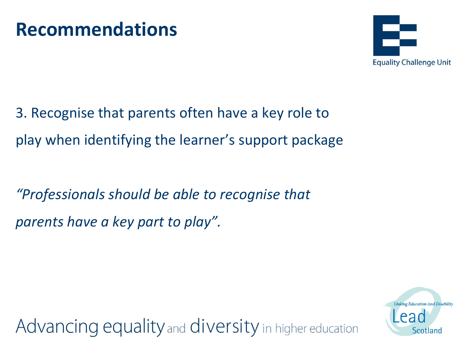

3. Recognise that parents often have a key role to play when identifying the learner's support package

*"Professionals should be able to recognise that parents have a key part to play".*

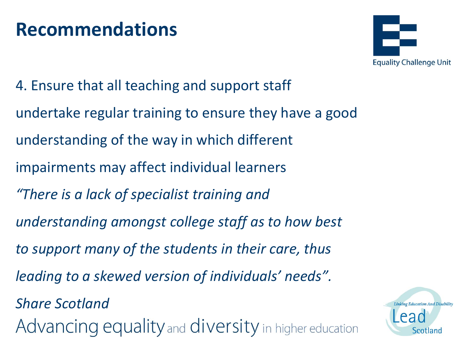

**Linking Education And Disability** 

Scotland

ea

4. Ensure that all teaching and support staff undertake regular training to ensure they have a good understanding of the way in which different impairments may affect individual learners *"There is a lack of specialist training and understanding amongst college staff as to how best to support many of the students in their care, thus leading to a skewed version of individuals' needs". Share Scotland*Advancing equality and diversity in higher education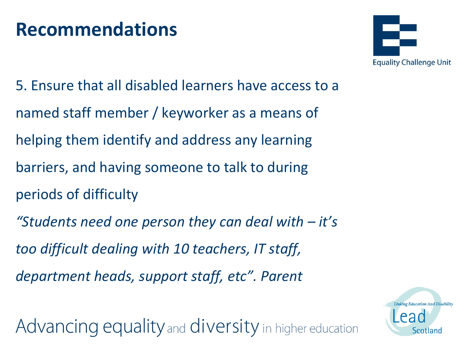

- 5. Ensure that all disabled learners have access to a
- named staff member / keyworker as a means of
- helping them identify and address any learning
- barriers, and having someone to talk to during
- periods of difficulty
- *"Students need one person they can deal with – it's*
- *too difficult dealing with 10 teachers, IT staff,*
- *department heads, support staff, etc". Parent*

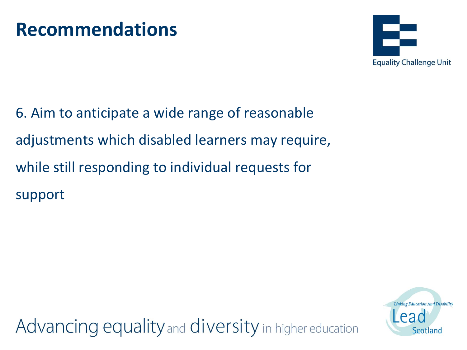

6. Aim to anticipate a wide range of reasonable adjustments which disabled learners may require, while still responding to individual requests for support

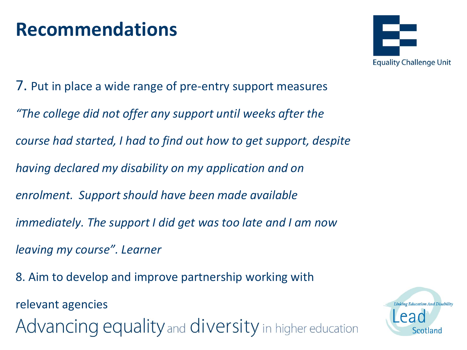

7. Put in place a wide range of pre-entry support measures *"The college did not offer any support until weeks after the course had started, I had to find out how to get support, despite having declared my disability on my application and on enrolment. Support should have been made available immediately. The support I did get was too late and I am now leaving my course". Learner* 8. Aim to develop and improve partnership working with

relevant agenciesAdvancing equality and diversity in higher education

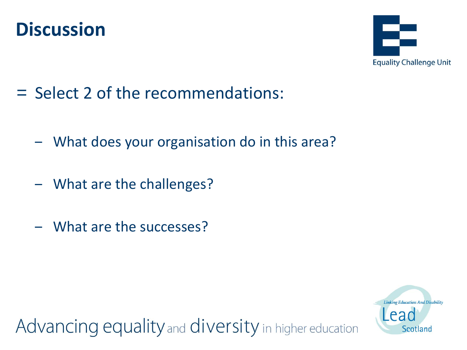



- = Select 2 of the recommendations:
	- ‒ What does your organisation do in this area?
	- ‒ What are the challenges?
	- What are the successes?

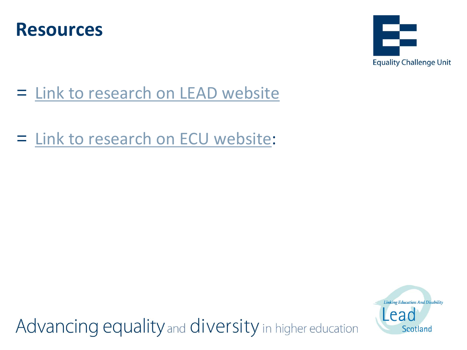



- = [Link to research on LEAD website](http://www.lead.org.uk/article.asp?art_id=456)
- = [Link to research on ECU website:](http://www.ecu.ac.uk/guidance-resources/student-recruitment-retention-attainment/student-attainment/supporting-disabled-learners-realise-potential-improving-disabled-learners-progression-learning-colleges)

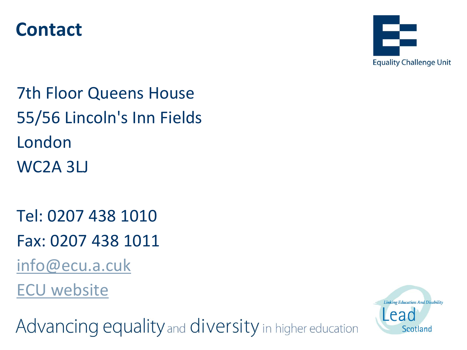



7th Floor Queens House 55/56 Lincoln's Inn Fields London WC2A 3LJ

Tel: 0207 438 1010 Fax: 0207 438 1011 [info@ecu.a.cuk](mailto:info@ecu.a.cuk) [ECU website](http://www.ecu.ac.uk/)